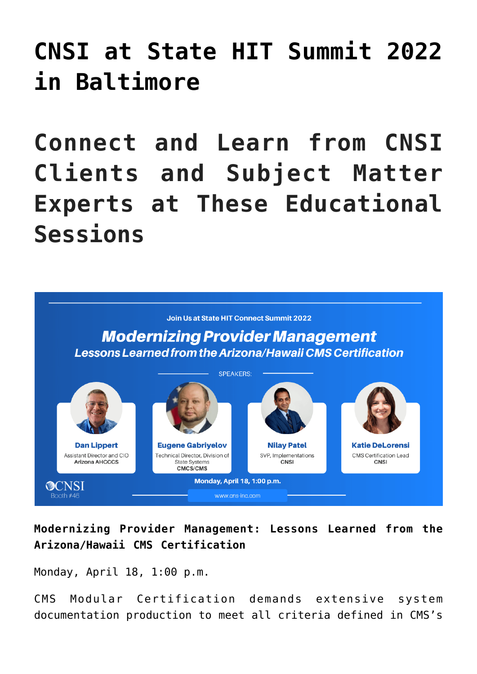# **[CNSI at State HIT Summit 2022](https://www.cns-inc.com/insights/events/cnsi-at-state-hit-summit-2022-in-baltimore/) [in Baltimore](https://www.cns-inc.com/insights/events/cnsi-at-state-hit-summit-2022-in-baltimore/)**

**Connect and Learn from CNSI Clients and Subject Matter Experts at These Educational Sessions**



**Modernizing Provider Management: Lessons Learned from the Arizona/Hawaii CMS Certification**

Monday, April 18, 1:00 p.m.

CMS Modular Certification demands extensive system documentation production to meet all criteria defined in CMS's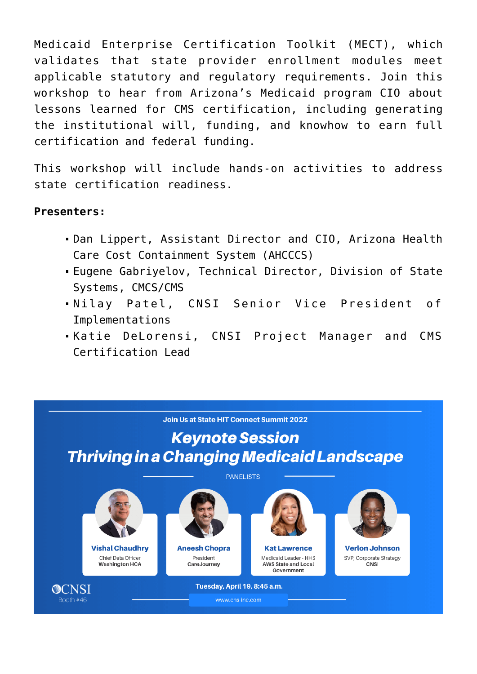Medicaid Enterprise Certification Toolkit (MECT), which validates that state provider enrollment modules meet applicable statutory and regulatory requirements. Join this workshop to hear from Arizona's Medicaid program CIO about lessons learned for CMS certification, including generating the institutional will, funding, and knowhow to earn full certification and federal funding.

This workshop will include hands-on activities to address state certification readiness.

#### **Presenters:**

- Dan Lippert, Assistant Director and CIO, Arizona Health Care Cost Containment System (AHCCCS)
- Eugene Gabriyelov, Technical Director, Division of State Systems, CMCS/CMS
- Nilay Patel, CNSI Senior Vice President of Implementations
- Katie DeLorensi, CNSI Project Manager and CMS Certification Lead

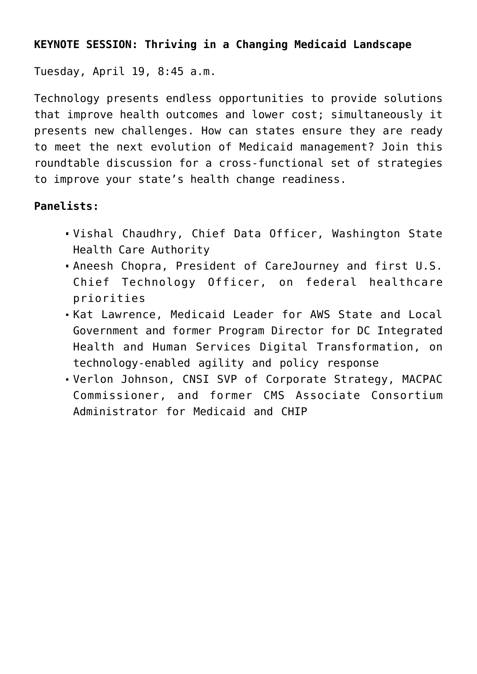### **KEYNOTE SESSION: Thriving in a Changing Medicaid Landscape**

Tuesday, April 19, 8:45 a.m.

Technology presents endless opportunities to provide solutions that improve health outcomes and lower cost; simultaneously it presents new challenges. How can states ensure they are ready to meet the next evolution of Medicaid management? Join this roundtable discussion for a cross-functional set of strategies to improve your state's health change readiness.

## **Panelists:**

- Vishal Chaudhry, Chief Data Officer, Washington State Health Care Authority
- Aneesh Chopra, President of CareJourney and first U.S. Chief Technology Officer, on federal healthcare priorities
- Kat Lawrence, Medicaid Leader for AWS State and Local Government and former Program Director for DC Integrated Health and Human Services Digital Transformation, on technology-enabled agility and policy response
- Verlon Johnson, CNSI SVP of Corporate Strategy, MACPAC Commissioner, and former CMS Associate Consortium Administrator for Medicaid and CHIP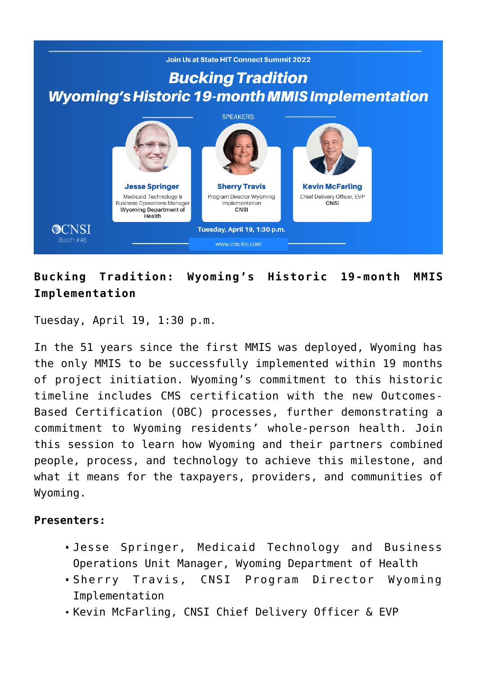

# **Bucking Tradition: Wyoming's Historic 19-month MMIS Implementation**

Tuesday, April 19, 1:30 p.m.

In the 51 years since the first MMIS was deployed, Wyoming has the only MMIS to be successfully implemented within 19 months of project initiation. Wyoming's commitment to this historic timeline includes CMS certification with the new Outcomes-Based Certification (OBC) processes, further demonstrating a commitment to Wyoming residents' whole-person health. Join this session to learn how Wyoming and their partners combined people, process, and technology to achieve this milestone, and what it means for the taxpayers, providers, and communities of Wyoming.

#### **Presenters:**

- Jesse Springer, Medicaid Technology and Business Operations Unit Manager, Wyoming Department of Health
- Sherry Travis, CNSI Program Director Wyoming Implementation
- Kevin McFarling, CNSI Chief Delivery Officer & EVP